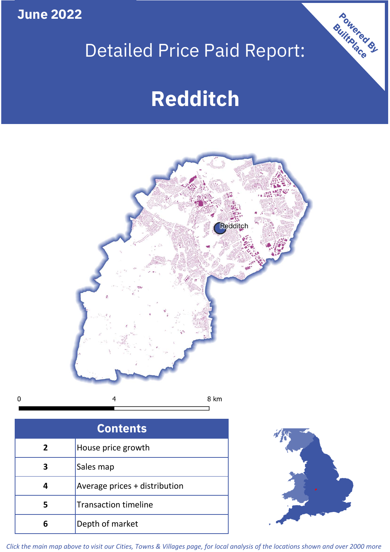**June 2022**

## Detailed Price Paid Report:

# **Redditch**



| <b>Contents</b> |                               |  |  |  |
|-----------------|-------------------------------|--|--|--|
| $\mathbf{2}$    | House price growth            |  |  |  |
| 3               | Sales map                     |  |  |  |
|                 | Average prices + distribution |  |  |  |
| 5               | <b>Transaction timeline</b>   |  |  |  |
| ĥ               | Depth of market               |  |  |  |



Powered By

*Click the main map above to visit our Cities, Towns & Villages page, for local analysis of the locations shown and over 2000 more*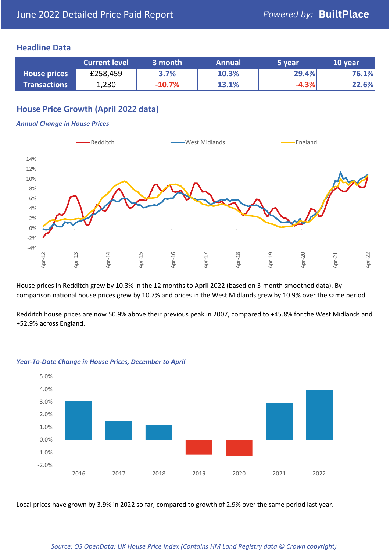## **Headline Data**

|                     | <b>Current level</b> | 3 month  | <b>Annual</b> | 5 year  | 10 year |
|---------------------|----------------------|----------|---------------|---------|---------|
| <b>House prices</b> | £258,459             | 3.7%     | 10.3%         | 29.4%   | 76.1%   |
| <b>Transactions</b> | 1,230                | $-10.7%$ | 13.1%         | $-4.3%$ | 22.6%   |

## **House Price Growth (April 2022 data)**

#### *Annual Change in House Prices*



House prices in Redditch grew by 10.3% in the 12 months to April 2022 (based on 3-month smoothed data). By comparison national house prices grew by 10.7% and prices in the West Midlands grew by 10.9% over the same period.

Redditch house prices are now 50.9% above their previous peak in 2007, compared to +45.8% for the West Midlands and +52.9% across England.



#### *Year-To-Date Change in House Prices, December to April*

Local prices have grown by 3.9% in 2022 so far, compared to growth of 2.9% over the same period last year.

#### *Source: OS OpenData; UK House Price Index (Contains HM Land Registry data © Crown copyright)*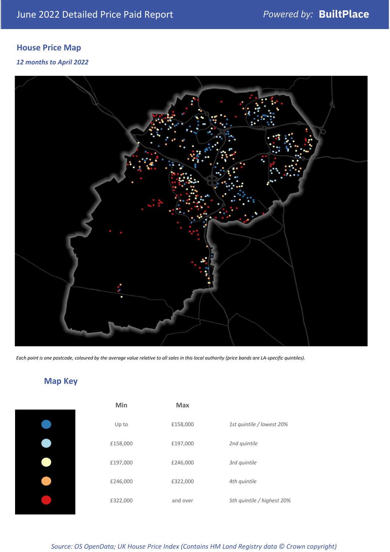## **House Price Map**

### *12 months to April 2022*



*Each point is one postcode, coloured by the average value relative to all sales in this local authority (price bands are LA-specific quintiles).*

## **Map Key**

| Min      | <b>Max</b> |                            |
|----------|------------|----------------------------|
| Up to    | £158,000   | 1st quintile / lowest 20%  |
| £158,000 | £197,000   | 2nd quintile               |
| £197,000 | £246,000   | 3rd quintile               |
| £246,000 | £322,000   | 4th quintile               |
| £322,000 | and over   | 5th quintile / highest 20% |

## *Source: OS OpenData; UK House Price Index (Contains HM Land Registry data © Crown copyright)*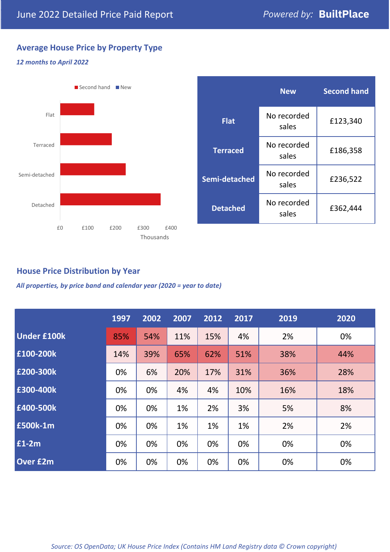## **Average House Price by Property Type**

### *12 months to April 2022*



|                 | <b>New</b>           | <b>Second hand</b> |  |  |
|-----------------|----------------------|--------------------|--|--|
| <b>Flat</b>     | No recorded<br>sales | £123,340           |  |  |
| <b>Terraced</b> | No recorded<br>sales | £186,358           |  |  |
| Semi-detached   | No recorded<br>sales | £236,522           |  |  |
| <b>Detached</b> | No recorded<br>sales | £362,444           |  |  |

## **House Price Distribution by Year**

*All properties, by price band and calendar year (2020 = year to date)*

|                    | 1997 | 2002 | 2007 | 2012 | 2017 | 2019 | 2020 |
|--------------------|------|------|------|------|------|------|------|
| <b>Under £100k</b> | 85%  | 54%  | 11%  | 15%  | 4%   | 2%   | 0%   |
| £100-200k          | 14%  | 39%  | 65%  | 62%  | 51%  | 38%  | 44%  |
| £200-300k          | 0%   | 6%   | 20%  | 17%  | 31%  | 36%  | 28%  |
| £300-400k          | 0%   | 0%   | 4%   | 4%   | 10%  | 16%  | 18%  |
| £400-500k          | 0%   | 0%   | 1%   | 2%   | 3%   | 5%   | 8%   |
| £500k-1m           | 0%   | 0%   | 1%   | 1%   | 1%   | 2%   | 2%   |
| £1-2m              | 0%   | 0%   | 0%   | 0%   | 0%   | 0%   | 0%   |
| <b>Over £2m</b>    | 0%   | 0%   | 0%   | 0%   | 0%   | 0%   | 0%   |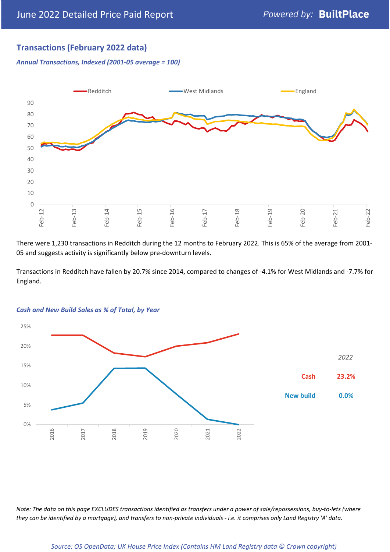## **Transactions (February 2022 data)**

*Annual Transactions, Indexed (2001-05 average = 100)*



There were 1,230 transactions in Redditch during the 12 months to February 2022. This is 65% of the average from 2001- 05 and suggests activity is significantly below pre-downturn levels.

Transactions in Redditch have fallen by 20.7% since 2014, compared to changes of -4.1% for West Midlands and -7.7% for England.



#### *Cash and New Build Sales as % of Total, by Year*

*Note: The data on this page EXCLUDES transactions identified as transfers under a power of sale/repossessions, buy-to-lets (where they can be identified by a mortgage), and transfers to non-private individuals - i.e. it comprises only Land Registry 'A' data.*